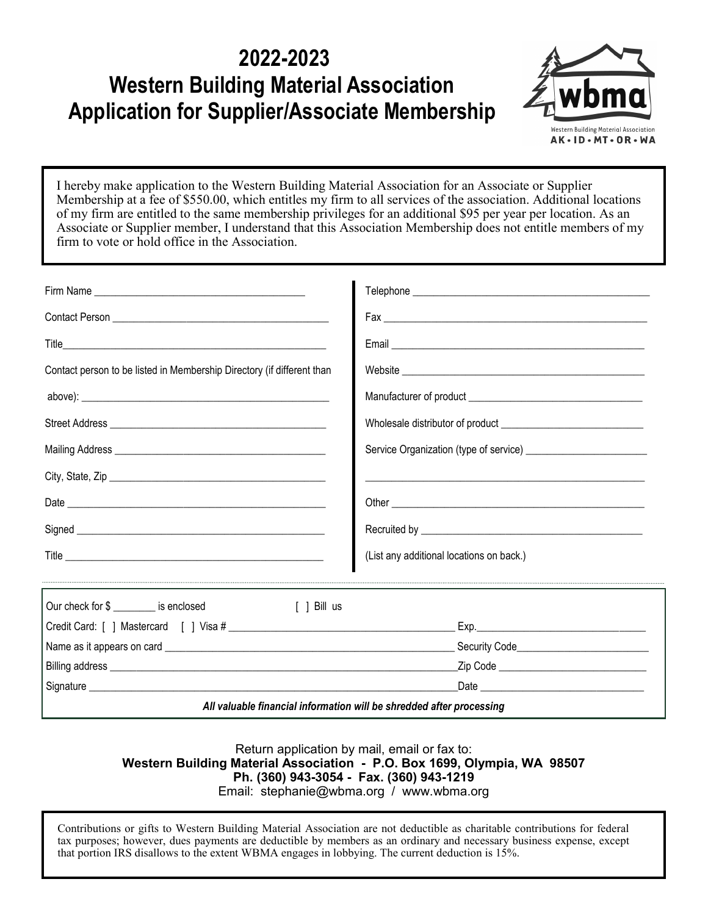## **2022-2023 Western Building Material Association Application for Supplier/Associate Membership**



I hereby make application to the Western Building Material Association for an Associate or Supplier Membership at a fee of \$550.00, which entitles my firm to all services of the association. Additional locations of my firm are entitled to the same membership privileges for an additional \$95 per year per location. As an Associate or Supplier member, I understand that this Association Membership does not entitle members of my firm to vote or hold office in the Association.

| Contact person to be listed in Membership Directory (if different than |                                            |
|------------------------------------------------------------------------|--------------------------------------------|
|                                                                        |                                            |
|                                                                        |                                            |
|                                                                        |                                            |
|                                                                        |                                            |
|                                                                        |                                            |
|                                                                        |                                            |
|                                                                        | (List any additional locations on back.)   |
| Our check for \$ _________ is enclosed<br>[ ] Bill us                  |                                            |
|                                                                        |                                            |
|                                                                        |                                            |
|                                                                        | _Zip Code ________________________________ |
|                                                                        | Date <u>___________________________</u>    |
| All valuable financial information will be shredded after processing   |                                            |

Return application by mail, email or fax to: **Western Building Material Association - P.O. Box 1699, Olympia, WA 98507 Ph. (360) 943-3054 - Fax. (360) 943-1219**

Email: stephanie@wbma.org / www.wbma.org

Contributions or gifts to Western Building Material Association are not deductible as charitable contributions for federal tax purposes; however, dues payments are deductible by members as an ordinary and necessary business expense, except that portion IRS disallows to the extent WBMA engages in lobbying. The current deduction is 15%.